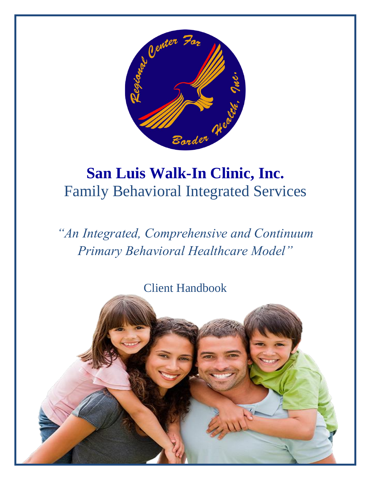

# **San Luis Walk-In Clinic, Inc.**  Family Behavioral Integrated Services

*"An Integrated, Comprehensive and Continuum Primary Behavioral Healthcare Model"*

Client Handbook

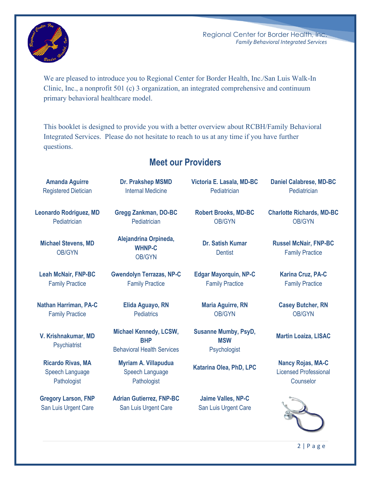

We are pleased to introduce you to Regional Center for Border Health, Inc./San Luis Walk-In Clinic, Inc., a nonprofit 501 (c) 3 organization, an integrated comprehensive and continuum primary behavioral healthcare model.

This booklet is designed to provide you with a better overview about RCBH/Family Behavioral Integrated Services. Please do not hesitate to reach to us at any time if you have further questions.

### **Meet our Providers**

| <b>Amanda Aguirre</b>                       | Dr. Prakshep MSMD                                                                | Victoria E. Lasala, MD-BC                                 | <b>Daniel Calabrese, MD-BC</b>                         |
|---------------------------------------------|----------------------------------------------------------------------------------|-----------------------------------------------------------|--------------------------------------------------------|
| <b>Registered Dietician</b>                 | <b>Internal Medicine</b>                                                         | Pediatrician                                              | Pediatrician                                           |
| <b>Leonardo Rodriguez, MD</b>               | <b>Gregg Zankman, DO-BC</b>                                                      | <b>Robert Brooks, MD-BC</b>                               | <b>Charlotte Richards, MD-BC</b>                       |
| Pediatrician                                | Pediatrician                                                                     | <b>OB/GYN</b>                                             | <b>OB/GYN</b>                                          |
| <b>Michael Stevens, MD</b><br><b>OB/GYN</b> | Alejandrina Orpineda,<br><b>WHNP-C</b><br><b>OB/GYN</b>                          | <b>Dr. Satish Kumar</b><br><b>Dentist</b>                 | <b>Russel McNair, FNP-BC</b><br><b>Family Practice</b> |
| <b>Leah McNair, FNP-BC</b>                  | <b>Gwendolyn Terrazas, NP-C</b>                                                  | <b>Edgar Mayorquin, NP-C</b>                              | <b>Karina Cruz, PA-C</b>                               |
| <b>Family Practice</b>                      | <b>Family Practice</b>                                                           | <b>Family Practice</b>                                    | <b>Family Practice</b>                                 |
| Nathan Harriman, PA-C                       | Elida Aguayo, RN                                                                 | <b>Maria Aguirre, RN</b>                                  | <b>Casey Butcher, RN</b>                               |
| <b>Family Practice</b>                      | <b>Pediatrics</b>                                                                | <b>OB/GYN</b>                                             | <b>OB/GYN</b>                                          |
| V. Krishnakumar, MD<br>Psychiatrist         | <b>Michael Kennedy, LCSW,</b><br><b>BHP</b><br><b>Behavioral Health Services</b> | <b>Susanne Mumby, PsyD,</b><br><b>MSW</b><br>Psychologist | <b>Martin Loaiza, LISAC</b>                            |
| <b>Ricardo Rivas, MA</b>                    | Myriam A. Villapudua                                                             | Katarina Olea, PhD, LPC                                   | <b>Nancy Rojas, MA-C</b>                               |
| Speech Language                             | <b>Speech Language</b>                                                           |                                                           | <b>Licensed Professional</b>                           |
| Pathologist                                 | Pathologist                                                                      |                                                           | Counselor                                              |
| <b>Gregory Larson, FNP</b>                  | <b>Adrian Gutierrez, FNP-BC</b>                                                  | Jaime Valles, NP-C                                        |                                                        |
| San Luis Urgent Care                        | San Luis Urgent Care                                                             | San Luis Urgent Care                                      |                                                        |
|                                             |                                                                                  |                                                           | 2 Page                                                 |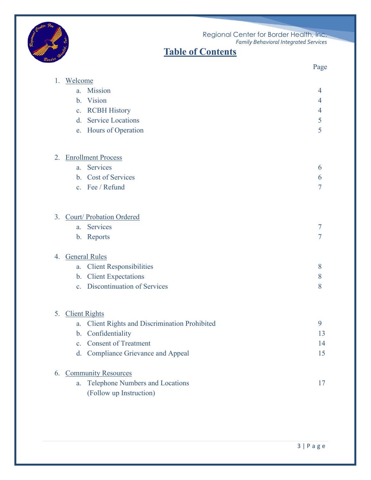



|    |                                                          | Page           |
|----|----------------------------------------------------------|----------------|
| 1. | Welcome                                                  |                |
|    | Mission<br>a.                                            | 4              |
|    | Vision<br>$\mathbf{b}$ .                                 | 4              |
|    | <b>RCBH History</b><br>C <sub>1</sub>                    | $\overline{4}$ |
|    | <b>Service Locations</b><br>$d_{\cdot}$                  | 5              |
|    | Hours of Operation<br>e.                                 | 5              |
| 2. | <b>Enrollment Process</b>                                |                |
|    | <b>Services</b><br>a.                                    | 6              |
|    | <b>Cost of Services</b><br>$\mathbf{b}$ .                | 6              |
|    | c. Fee / Refund                                          | $\overline{7}$ |
| 3. | Court/ Probation Ordered                                 |                |
|    | <b>Services</b><br>a.                                    | 7              |
|    | Reports<br>$\mathbf{b}$ .                                | $\overline{7}$ |
| 4. | <b>General Rules</b>                                     |                |
|    | <b>Client Responsibilities</b><br>a.                     | 8              |
|    | <b>Client Expectations</b><br>$\mathbf{b}$ .             | 8              |
|    | <b>Discontinuation of Services</b><br>C <sub>1</sub>     | 8              |
| 5. | <b>Client Rights</b>                                     |                |
|    | <b>Client Rights and Discrimination Prohibited</b><br>a. | 9              |
|    | b. Confidentiality                                       | 13             |
|    | c. Consent of Treatment                                  | 14             |
|    | d. Compliance Grievance and Appeal                       | 15             |
| 6. | <b>Community Resources</b>                               |                |
|    | <b>Telephone Numbers and Locations</b><br>a.             | 17             |
|    | (Follow up Instruction)                                  |                |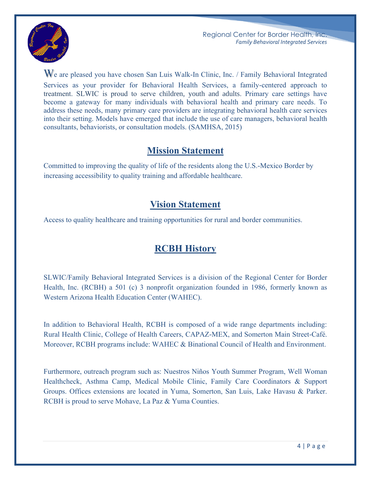

We are pleased you have chosen San Luis Walk-In Clinic, Inc. / Family Behavioral Integrated Services as your provider for Behavioral Health Services, a family-centered approach to treatment. SLWIC is proud to serve children, youth and adults. Primary care settings have become a gateway for many individuals with behavioral health and primary care needs. To address these needs, many primary care providers are integrating behavioral health care services into their setting. Models have emerged that include the use of care managers, behavioral health consultants, behaviorists, or consultation models. (SAMHSA, 2015)

### **Mission Statement**

Committed to improving the quality of life of the residents along the U.S.-Mexico Border by increasing accessibility to quality training and affordable healthcare.

### **Vision Statement**

Access to quality healthcare and training opportunities for rural and border communities.

### **RCBH History**

SLWIC/Family Behavioral Integrated Services is a division of the Regional Center for Border Health, Inc. (RCBH) a 501 (c) 3 nonprofit organization founded in 1986, formerly known as Western Arizona Health Education Center (WAHEC).

In addition to Behavioral Health, RCBH is composed of a wide range departments including: Rural Health Clinic, College of Health Careers, CAPAZ-MEX, and Somerton Main Street-Café. Moreover, RCBH programs include: WAHEC & Binational Council of Health and Environment.

Furthermore, outreach program such as: Nuestros Niños Youth Summer Program, Well Woman Healthcheck, Asthma Camp, Medical Mobile Clinic, Family Care Coordinators & Support Groups. Offices extensions are located in Yuma, Somerton, San Luis, Lake Havasu & Parker. RCBH is proud to serve Mohave, La Paz & Yuma Counties.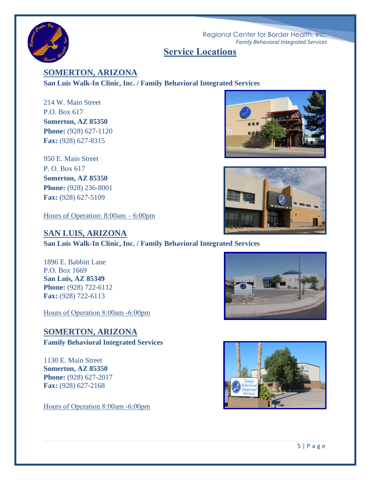

#### **Service Locations**

**SOMERTON, ARIZONA**

**San Luis Walk-In Clinic, Inc. / Family Behavioral Integrated Services**

214 W. Main Street P.O. Box 617 **Somerton, AZ 85350 Phone:** (928) 627-1120 **Fax:** (928) 627-8315

950 E. Main Street P. O. Box 617 **Somerton, AZ 85350 Phone:** (928) 236-8001 **Fax:** (928) 627-5109

Hours of Operation: 8:00am – 6:00pm





#### **SAN LUIS, ARIZONA**

**San Luis Walk-In Clinic, Inc. / Family Behavioral Integrated Services**

1896 E. Babbitt Lane P.O. Box 1669 **San Luis, AZ 85349 Phone:** (928) 722-6112 **Fax:** (928) 722-6113

Hours of Operation 8:00am -6:00pm

### **SOMERTON, ARIZONA**

**Family Behavioral Integrated Services**

1130 E. Main Street **Somerton, AZ 85350 Phone:** (928) 627-2017 **Fax:** (928) 627-2168

Hours of Operation 8:00am -6:00pm



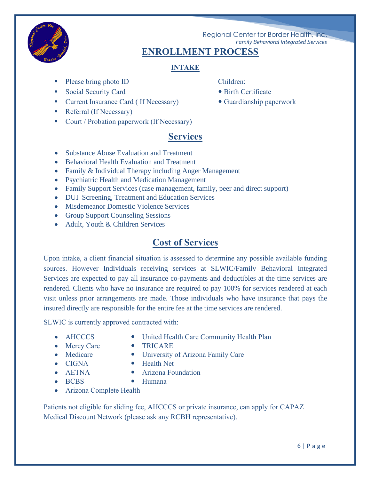

### **ENROLLMENT PROCESS**

#### **INTAKE**

- Please bring photo ID Children:
- Social Security Card Birth Certificate
- Current Insurance Card ( If Necessary) Guardianship paperwork
- Referral (If Necessary)
- Court / Probation paperwork (If Necessary)

- 
- 

### **Services**

- Substance Abuse Evaluation and Treatment
- Behavioral Health Evaluation and Treatment
- Family & Individual Therapy including Anger Management
- Psychiatric Health and Medication Management
- Family Support Services (case management, family, peer and direct support)
- DUI Screening, Treatment and Education Services
- Misdemeanor Domestic Violence Services
- Group Support Counseling Sessions
- Adult, Youth & Children Services

### **Cost of Services**

Upon intake, a client financial situation is assessed to determine any possible available funding sources. However Individuals receiving services at SLWIC/Family Behavioral Integrated Services are expected to pay all insurance co-payments and deductibles at the time services are rendered. Clients who have no insurance are required to pay 100% for services rendered at each visit unless prior arrangements are made. Those individuals who have insurance that pays the insured directly are responsible for the entire fee at the time services are rendered.

SLWIC is currently approved contracted with:

- 
- AHCCCS United Health Care Community Health Plan
- Mercy Care TRICARE
- 
- Medicare University of Arizona Family Care
- 
- 
- CIGNA Health Net
- 
- AETNA Arizona Foundation
	-
- BCBS Humana
- Arizona Complete Health

Patients not eligible for sliding fee, AHCCCS or private insurance, can apply for CAPAZ Medical Discount Network (please ask any RCBH representative).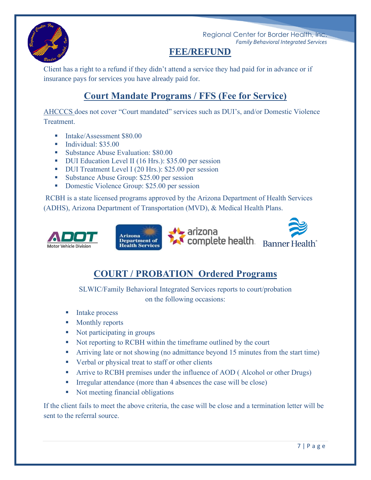

### **FEE/REFUND**

Client has a right to a refund if they didn't attend a service they had paid for in advance or if insurance pays for services you have already paid for.

### **Court Mandate Programs / FFS (Fee for Service)**

AHCCCS does not cover "Court mandated" services such as DUI's, and/or Domestic Violence Treatment.

- **F** Intake/Assessment \$80.00
- **T** Individual: \$35.00
- Substance Abuse Evaluation: \$80.00
- DUI Education Level II (16 Hrs.): \$35.00 per session
- DUI Treatment Level I (20 Hrs.): \$25.00 per session
- Substance Abuse Group: \$25.00 per session
- Domestic Violence Group: \$25.00 per session

RCBH is a state licensed programs approved by the Arizona Department of Health Services (ADHS), Arizona Department of Transportation (MVD), & Medical Health Plans.



## **COURT / PROBATION Ordered Programs**

SLWIC/Family Behavioral Integrated Services reports to court/probation on the following occasions:

- Intake process
- Monthly reports
- Not participating in groups
- Not reporting to RCBH within the timeframe outlined by the court
- **EXECUTE:** Arriving late or not showing (no admittance beyond 15 minutes from the start time)
- Verbal or physical treat to staff or other clients
- **EXECUTE:** Arrive to RCBH premises under the influence of AOD (Alcohol or other Drugs)
- $\blacksquare$  Irregular attendance (more than 4 absences the case will be close)
- Not meeting financial obligations

If the client fails to meet the above criteria, the case will be close and a termination letter will be sent to the referral source.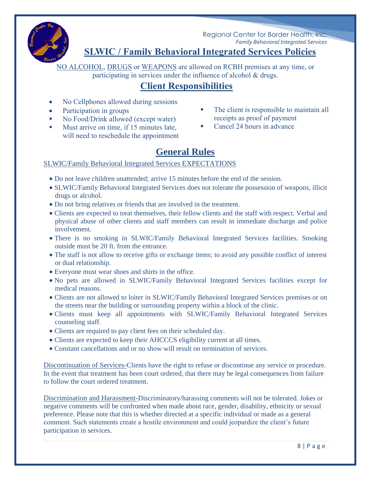

### **SLWIC / Family Behavioral Integrated Services Policies**

NO ALCOHOL, DRUGS or WEAPONS are allowed on RCBH premises at any time, or participating in services under the influence of alcohol & drugs.

### **Client Responsibilities**

- No Cellphones allowed during sessions
- Participation in groups
- No Food/Drink allowed (except water)
- Must arrive on time, if 15 minutes late, will need to reschedule the appointment
- The client is responsible to maintain all receipts as proof of payment
- Cancel 24 hours in advance

## **General Rules**

#### SLWIC/Family Behavioral Integrated Services EXPECTATIONS

- Do not leave children unattended; arrive 15 minutes before the end of the session.
- SLWIC/Family Behavioral Integrated Services does not tolerate the possession of weapons, illicit drugs or alcohol.
- Do not bring relatives or friends that are involved in the treatment.
- Clients are expected to treat themselves, their fellow clients and the staff with respect. Verbal and physical abuse of other clients and staff members can result in immediate discharge and police involvement.
- There is no smoking in SLWIC/Family Behavioral Integrated Services facilities. Smoking outside must be 20 ft. from the entrance.
- The staff is not allow to receive gifts or exchange items; to avoid any possible conflict of interest or dual relationship.
- Everyone must wear shoes and shirts in the office.
- No pets are allowed in SLWIC/Family Behavioral Integrated Services facilities except for medical reasons.
- Clients are not allowed to loiter in SLWIC/Family Behavioral Integrated Services premises or on the streets near the building or surrounding property within a block of the clinic.
- Clients must keep all appointments with SLWIC/Family Behavioral Integrated Services counseling staff.
- Clients are required to pay client fees on their scheduled day.
- Clients are expected to keep their AHCCCS eligibility current at all times.
- Constant cancellations and or no show will result on termination of services.

Discontinuation of Services-Clients have the right to refuse or discontinue any service or procedure. In the event that treatment has been court ordered, that there may be legal consequences from failure to follow the court ordered treatment.

Discrimination and Harassment-Discriminatory/harassing comments will not be tolerated. Jokes or negative comments will be confronted when made about race, gender, disability, ethnicity or sexual preference. Please note that this is whether directed at a specific individual or made as a general comment. Such statements create a hostile environment and could jeopardize the client's future participation in services.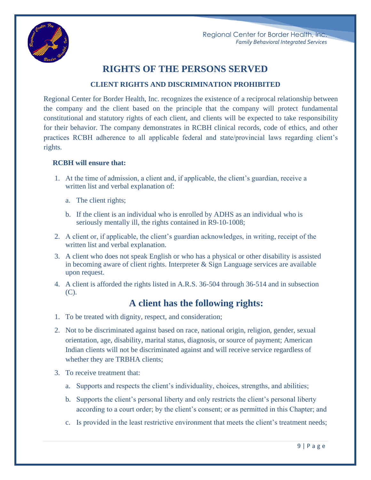

### **RIGHTS OF THE PERSONS SERVED**

#### **CLIENT RIGHTS AND DISCRIMINATION PROHIBITED**

Regional Center for Border Health, Inc. recognizes the existence of a reciprocal relationship between the company and the client based on the principle that the company will protect fundamental constitutional and statutory rights of each client, and clients will be expected to take responsibility for their behavior. The company demonstrates in RCBH clinical records, code of ethics, and other practices RCBH adherence to all applicable federal and state/provincial laws regarding client's rights.

#### **RCBH will ensure that:**

- 1. At the time of admission, a client and, if applicable, the client's guardian, receive a written list and verbal explanation of:
	- a. The client rights;
	- b. If the client is an individual who is enrolled by ADHS as an individual who is seriously mentally ill, the rights contained in R9-10-1008;
- 2. A client or, if applicable, the client's guardian acknowledges, in writing, receipt of the written list and verbal explanation.
- 3. A client who does not speak English or who has a physical or other disability is assisted in becoming aware of client rights. Interpreter & Sign Language services are available upon request.
- 4. A client is afforded the rights listed in A.R.S. 36-504 through 36-514 and in subsection  $(C).$

#### **A client has the following rights:**

- 1. To be treated with dignity, respect, and consideration;
- 2. Not to be discriminated against based on race, national origin, religion, gender, sexual orientation, age, disability, marital status, diagnosis, or source of payment; American Indian clients will not be discriminated against and will receive service regardless of whether they are TRBHA clients;
- 3. To receive treatment that:
	- a. Supports and respects the client's individuality, choices, strengths, and abilities;
	- b. Supports the client's personal liberty and only restricts the client's personal liberty according to a court order; by the client's consent; or as permitted in this Chapter; and
	- c. Is provided in the least restrictive environment that meets the client's treatment needs;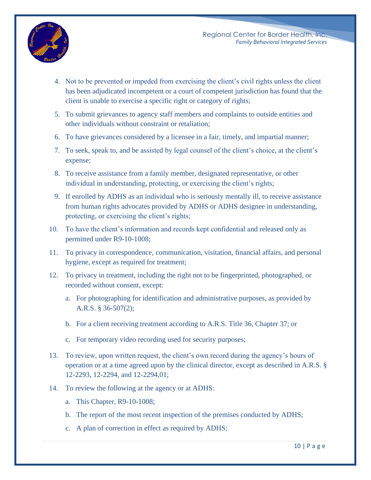

- 4. Not to be prevented or impeded from exercising the client's civil rights unless the client has been adjudicated incompetent or a court of competent jurisdiction has found that the client is unable to exercise a specific right or category of rights;
- 5. To submit grievances to agency staff members and complaints to outside entities and other individuals without constraint or retaliation;
- 6. To have grievances considered by a licensee in a fair, timely, and impartial manner;
- 7. To seek, speak to, and be assisted by legal counsel of the client's choice, at the client's expense;
- 8. To receive assistance from a family member, designated representative, or other individual in understanding, protecting, or exercising the client's rights;
- 9. If enrolled by ADHS as an individual who is seriously mentally ill, to receive assistance from human rights advocates provided by ADHS or ADHS designee in understanding, protecting, or exercising the client's rights;
- 10. To have the client's information and records kept confidential and released only as permitted under R9-10-1008;
- 11. To privacy in correspondence, communication, visitation, financial affairs, and personal hygiene, except as required for treatment;
- 12. To privacy in treatment, including the right not to be fingerprinted, photographed, or recorded without consent, except:
	- a. For photographing for identification and administrative purposes, as provided by A.R.S. § 36-507(2);
	- b. For a client receiving treatment according to A.R.S. Title 36, Chapter 37; or
	- c. For temporary video recording used for security purposes;
- 13. To review, upon written request, the client's own record during the agency's hours of operation or at a time agreed upon by the clinical director, except as described in A.R.S. § 12-2293, 12-2294, and 12-2294,01;
- 14. To review the following at the agency or at ADHS:
	- a. This Chapter, R9-10-1008;
	- b. The report of the most recent inspection of the premises conducted by ADHS;
	- c. A plan of correction in effect as required by ADHS;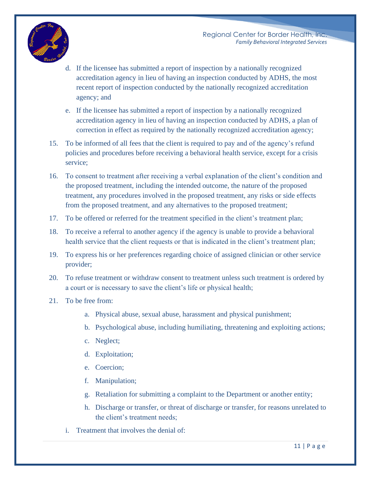

- d. If the licensee has submitted a report of inspection by a nationally recognized accreditation agency in lieu of having an inspection conducted by ADHS, the most recent report of inspection conducted by the nationally recognized accreditation agency; and
- e. If the licensee has submitted a report of inspection by a nationally recognized accreditation agency in lieu of having an inspection conducted by ADHS, a plan of correction in effect as required by the nationally recognized accreditation agency;
- 15. To be informed of all fees that the client is required to pay and of the agency's refund policies and procedures before receiving a behavioral health service, except for a crisis service;
- 16. To consent to treatment after receiving a verbal explanation of the client's condition and the proposed treatment, including the intended outcome, the nature of the proposed treatment, any procedures involved in the proposed treatment, any risks or side effects from the proposed treatment, and any alternatives to the proposed treatment;
- 17. To be offered or referred for the treatment specified in the client's treatment plan;
- 18. To receive a referral to another agency if the agency is unable to provide a behavioral health service that the client requests or that is indicated in the client's treatment plan;
- 19. To express his or her preferences regarding choice of assigned clinician or other service provider;
- 20. To refuse treatment or withdraw consent to treatment unless such treatment is ordered by a court or is necessary to save the client's life or physical health;
- 21. To be free from:
	- a. Physical abuse, sexual abuse, harassment and physical punishment;
	- b. Psychological abuse, including humiliating, threatening and exploiting actions;
	- c. Neglect;
	- d. Exploitation;
	- e. Coercion;
	- f. Manipulation;
	- g. Retaliation for submitting a complaint to the Department or another entity;
	- h. Discharge or transfer, or threat of discharge or transfer, for reasons unrelated to the client's treatment needs;
	- i. Treatment that involves the denial of: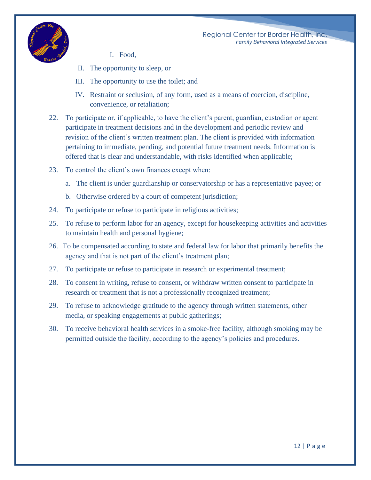

- I. Food,
- II. The opportunity to sleep, or
- III. The opportunity to use the toilet; and
- IV. Restraint or seclusion, of any form, used as a means of coercion, discipline, convenience, or retaliation;
- 22. To participate or, if applicable, to have the client's parent, guardian, custodian or agent participate in treatment decisions and in the development and periodic review and revision of the client's written treatment plan. The client is provided with information pertaining to immediate, pending, and potential future treatment needs. Information is offered that is clear and understandable, with risks identified when applicable;
- 23. To control the client's own finances except when:
	- a. The client is under guardianship or conservatorship or has a representative payee; or
	- b. Otherwise ordered by a court of competent jurisdiction;
- 24. To participate or refuse to participate in religious activities;
- 25. To refuse to perform labor for an agency, except for housekeeping activities and activities to maintain health and personal hygiene;
- 26. To be compensated according to state and federal law for labor that primarily benefits the agency and that is not part of the client's treatment plan;
- 27. To participate or refuse to participate in research or experimental treatment;
- 28. To consent in writing, refuse to consent, or withdraw written consent to participate in research or treatment that is not a professionally recognized treatment;
- 29. To refuse to acknowledge gratitude to the agency through written statements, other media, or speaking engagements at public gatherings;
- 30. To receive behavioral health services in a smoke-free facility, although smoking may be permitted outside the facility, according to the agency's policies and procedures.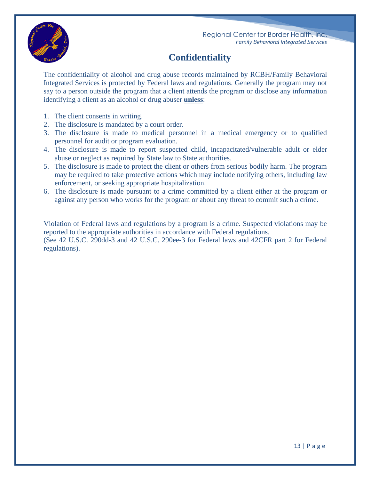



**Confidentiality**

The confidentiality of alcohol and drug abuse records maintained by RCBH/Family Behavioral Integrated Services is protected by Federal laws and regulations. Generally the program may not say to a person outside the program that a client attends the program or disclose any information identifying a client as an alcohol or drug abuser **unless**:

- 1. The client consents in writing.
- 2. The disclosure is mandated by a court order.
- 3. The disclosure is made to medical personnel in a medical emergency or to qualified personnel for audit or program evaluation.
- 4. The disclosure is made to report suspected child, incapacitated/vulnerable adult or elder abuse or neglect as required by State law to State authorities.
- 5. The disclosure is made to protect the client or others from serious bodily harm. The program may be required to take protective actions which may include notifying others, including law enforcement, or seeking appropriate hospitalization.
- 6. The disclosure is made pursuant to a crime committed by a client either at the program or against any person who works for the program or about any threat to commit such a crime.

Violation of Federal laws and regulations by a program is a crime. Suspected violations may be reported to the appropriate authorities in accordance with Federal regulations. (See 42 U.S.C. 290dd-3 and 42 U.S.C. 290ee-3 for Federal laws and 42CFR part 2 for Federal regulations).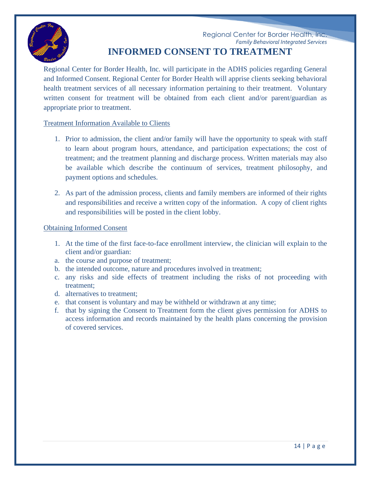

#### Regional Center for Border Health, Inc. *Family Behavioral Integrated Services* **INFORMED CONSENT TO TREATMENT**

Regional Center for Border Health, Inc. will participate in the ADHS policies regarding General and Informed Consent. Regional Center for Border Health will apprise clients seeking behavioral health treatment services of all necessary information pertaining to their treatment. Voluntary written consent for treatment will be obtained from each client and/or parent/guardian as appropriate prior to treatment.

#### Treatment Information Available to Clients

- 1. Prior to admission, the client and/or family will have the opportunity to speak with staff to learn about program hours, attendance, and participation expectations; the cost of treatment; and the treatment planning and discharge process. Written materials may also be available which describe the continuum of services, treatment philosophy, and payment options and schedules.
- 2. As part of the admission process, clients and family members are informed of their rights and responsibilities and receive a written copy of the information. A copy of client rights and responsibilities will be posted in the client lobby.

#### Obtaining Informed Consent

- 1. At the time of the first face-to-face enrollment interview, the clinician will explain to the client and/or guardian:
- a. the course and purpose of treatment;
- b. the intended outcome, nature and procedures involved in treatment;
- c. any risks and side effects of treatment including the risks of not proceeding with treatment;
- d. alternatives to treatment;
- e. that consent is voluntary and may be withheld or withdrawn at any time;
- f. that by signing the Consent to Treatment form the client gives permission for ADHS to access information and records maintained by the health plans concerning the provision of covered services.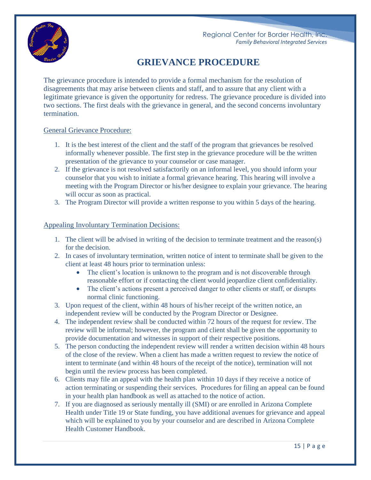

### **GRIEVANCE PROCEDURE**

The grievance procedure is intended to provide a formal mechanism for the resolution of disagreements that may arise between clients and staff, and to assure that any client with a legitimate grievance is given the opportunity for redress. The grievance procedure is divided into two sections. The first deals with the grievance in general, and the second concerns involuntary termination.

#### General Grievance Procedure:

- 1. It is the best interest of the client and the staff of the program that grievances be resolved informally whenever possible. The first step in the grievance procedure will be the written presentation of the grievance to your counselor or case manager.
- 2. If the grievance is not resolved satisfactorily on an informal level, you should inform your counselor that you wish to initiate a formal grievance hearing. This hearing will involve a meeting with the Program Director or his/her designee to explain your grievance. The hearing will occur as soon as practical.
- 3. The Program Director will provide a written response to you within 5 days of the hearing.

#### Appealing Involuntary Termination Decisions:

- 1. The client will be advised in writing of the decision to terminate treatment and the reason(s) for the decision.
- 2. In cases of involuntary termination, written notice of intent to terminate shall be given to the client at least 48 hours prior to termination unless:
	- The client's location is unknown to the program and is not discoverable through reasonable effort or if contacting the client would jeopardize client confidentiality.
	- The client's actions present a perceived danger to other clients or staff, or disrupts normal clinic functioning.
- 3. Upon request of the client, within 48 hours of his/her receipt of the written notice, an independent review will be conducted by the Program Director or Designee.
- 4. The independent review shall be conducted within 72 hours of the request for review. The review will be informal; however, the program and client shall be given the opportunity to provide documentation and witnesses in support of their respective positions.
- 5. The person conducting the independent review will render a written decision within 48 hours of the close of the review. When a client has made a written request to review the notice of intent to terminate (and within 48 hours of the receipt of the notice), termination will not begin until the review process has been completed.
- 6. Clients may file an appeal with the health plan within 10 days if they receive a notice of action terminating or suspending their services. Procedures for filing an appeal can be found in your health plan handbook as well as attached to the notice of action.
- 7. If you are diagnosed as seriously mentally ill (SMI) or are enrolled in Arizona Complete Health under Title 19 or State funding, you have additional avenues for grievance and appeal which will be explained to you by your counselor and are described in Arizona Complete Health Customer Handbook.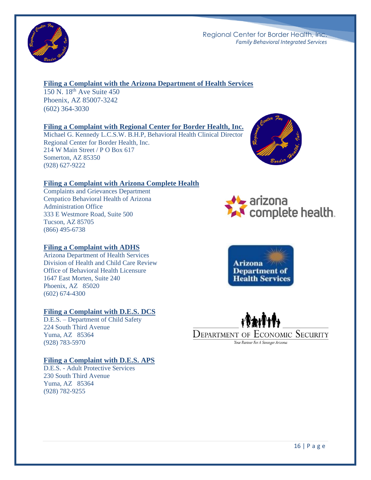

#### **Filing a Complaint with the Arizona Department of Health Services**

150 N. 18th Ave Suite 450 Phoenix, AZ 85007-3242 (602) 364-3030

#### **Filing a Complaint with Regional Center for Border Health, Inc.**

Michael G. Kennedy L.C.S.W. B.H.P, Behavioral Health Clinical Director Regional Center for Border Health, Inc. 214 W Main Street / P O Box 617 Somerton, AZ 85350 (928) 627-9222



#### **Filing a Complaint with Arizona Complete Health**

Complaints and Grievances Department Cenpatico Behavioral Health of Arizona Administration Office 333 E Westmore Road, Suite 500 Tucson, AZ 85705 (866) 495-6738

#### **Filing a Complaint with ADHS**

Arizona Department of Health Services Division of Health and Child Care Review Office of Behavioral Health Licensure 1647 East Morten, Suite 240 Phoenix, AZ 85020 (602) 674-4300

#### **Filing a Complaint with D.E.S. DCS**

D.E.S. – Department of Child Safety 224 South Third Avenue Yuma, AZ 85364 (928) 783-5970

#### **Filing a Complaint with D.E.S. APS**

D.E.S. - Adult Protective Services 230 South Third Avenue Yuma, AZ 85364 (928) 782-9255





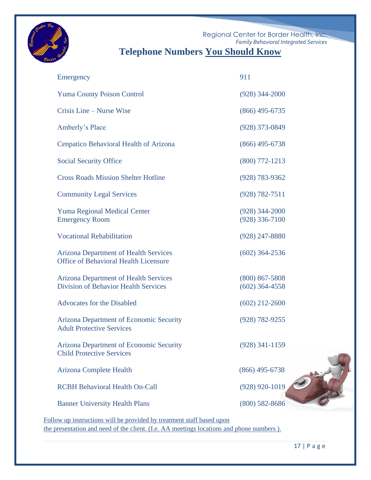

## **Telephone Numbers You Should Know**

| Emergency                                                                                    | 911                                  |
|----------------------------------------------------------------------------------------------|--------------------------------------|
| <b>Yuma County Poison Control</b>                                                            | $(928)$ 344-2000                     |
| Crisis Line – Nurse Wise                                                                     | $(866)$ 495-6735                     |
| Amberly's Place                                                                              | $(928)$ 373-0849                     |
| Cenpatico Behavioral Health of Arizona                                                       | $(866)$ 495-6738                     |
| <b>Social Security Office</b>                                                                | $(800)$ 772-1213                     |
| <b>Cross Roads Mission Shelter Hotline</b>                                                   | $(928) 783 - 9362$                   |
| <b>Community Legal Services</b>                                                              | $(928) 782 - 7511$                   |
| <b>Yuma Regional Medical Center</b><br><b>Emergency Room</b>                                 | $(928)$ 344-2000<br>$(928)$ 336-7100 |
| <b>Vocational Rehabilitation</b>                                                             | $(928)$ 247-8880                     |
| <b>Arizona Department of Health Services</b><br><b>Office of Behavioral Health Licensure</b> | $(602)$ 364-2536                     |
| <b>Arizona Department of Health Services</b><br><b>Division of Behavior Health Services</b>  | $(800)$ 867-5808<br>$(602)$ 364-4558 |
| <b>Advocates for the Disabled</b>                                                            | $(602)$ 212-2600                     |
| Arizona Department of Economic Security<br><b>Adult Protective Services</b>                  | (928) 782-9255                       |
| Arizona Department of Economic Security<br><b>Child Protective Services</b>                  | $(928)$ 341-1159                     |
| <b>Arizona Complete Health</b>                                                               | $(866)$ 495-6738                     |
| <b>RCBH Behavioral Health On-Call</b>                                                        | $(928)$ 920-1019                     |
| <b>Banner University Health Plans</b>                                                        | $(800)$ 582-8686                     |

Follow up instructions will be provided by treatment staff based upon the presentation and need of the client. (I.e. AA meetings locations and phone numbers ).